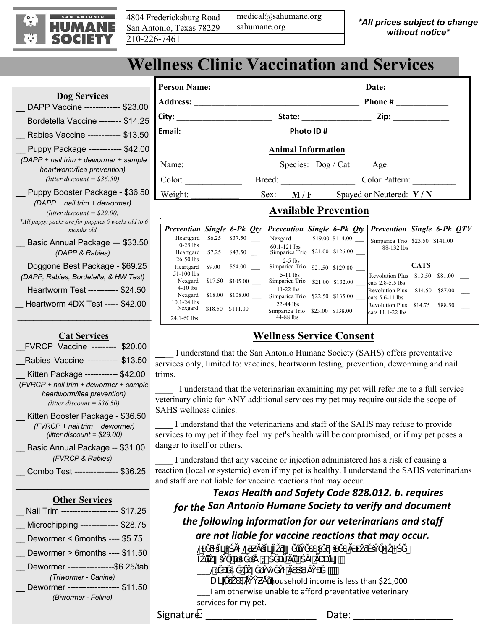

Simparica Trio \$23.50 \$141.00 \_\_\_

Revolution Plus \$14.50 \$87.00

Revolution Plus \$14.75 \$88.50 \_\_\_

**CATS** Revolution Plus \$13.50 \$81.00

88-132 lbs

cats 2.8-5.5 lbs

cats 5.6-11 lbs

# **Wellness Clinic Vaccination and Services**

|                                                                     | г егзон гуаше:             |                                                          |                                                 |                  |
|---------------------------------------------------------------------|----------------------------|----------------------------------------------------------|-------------------------------------------------|------------------|
| <b>Dog Services</b><br>DAPP Vaccine ------------- \$23.00           | <b>Address:</b>            |                                                          |                                                 |                  |
| Bordetella Vaccine -------- \$14.25                                 |                            | City: ___________________________                        |                                                 |                  |
| Rabies Vaccine ----------- \$13.50                                  |                            |                                                          | Photo ID #                                      |                  |
| Puppy Package ----------- \$42.00                                   |                            |                                                          | <b>Animal Information</b>                       |                  |
| (DAPP + nail trim + dewormer + sample<br>heartworm/flea prevention) |                            | Name: $\frac{1}{\sqrt{1-\frac{1}{2}} \cdot \frac{1}{2}}$ | Species: Dog / Cat                              |                  |
| (litter discount = $$36.50$ )                                       | Color:                     |                                                          | Breed:                                          |                  |
| Puppy Booster Package - \$36.50                                     | Weight:                    |                                                          | Sex: $M/F$                                      | Spayed o         |
| (DAPP + nail trim + dewormer)<br>(litter discount = $$29.00$ )      |                            |                                                          | <b>Available Prevention</b>                     |                  |
| *All puppy packs are for puppies 6 weeks old to 6<br>months old     |                            | Prevention Single 6-Pk Qty                               | Prevention Single 6-Pk Qty                      |                  |
| Basic Annual Package --- \$33.50                                    | Heartgard<br>$0-25$ lbs    | \$6.25 \$37.50                                           | Nexgard<br>$60.1 - 121$ lbs                     | \$19.00 \$114.00 |
| (DAPP & Rabies)                                                     | Heartgard<br>$26-50$ lbs   | $$7.25$ \$43.50 __                                       | Simparica Trio \$21.00 \$126.00 __              |                  |
| Doggone Best Package - \$69.25                                      | Heartgard<br>$51-100$ lbs  | $$54.00$ $\_\_$<br>\$9.00                                | $2-5$ lbs<br>Simparica Trio \$21.50 \$129.00 __ |                  |
| (DAPP, Rabies, Bordetella, & HW Test)                               | Nexgard                    | \$17.50 \$105.00 __                                      | $5-11$ lbs<br>Simparica Trio                    | \$21.00 \$132.00 |
|                                                                     | $4-10$ lbs<br>Nexgard      | \$18.00 \$108.00                                         | $11-22$ lbs<br>Simparica Trio                   | \$22.50 \$135.00 |
| Heartworm 4DX Test ----- \$42.00                                    | $10.1 - 24$ lbs<br>Nexgard | \$18.50 \$111.00                                         | 22-44 lbs<br>Simparica Trio \$23.00 \$138.00 __ |                  |
|                                                                     | 24.1-60 lbs                |                                                          | 44-88 lbs                                       |                  |

## **Cat Services**

- \_\_FVRCP Vaccine --------- \$20.00 Rabies Vaccine ----------- \$13.50 Kitten Package ------------ \$42.00 (*FVRCP + nail trim + dewormer + sample heartworm/flea prevention) (litter discount = \$36.50)*  Kitten Booster Package - \$36.50
- *(FVRCP + nail trim + dewormer) (litter discount = \$29.00)*
- \_\_ Basic Annual Package -- \$31.00 *(FVRCP & Rabies)*
- Combo Test ---------------- \$36.25  $\frac{1}{2}$  ,  $\frac{1}{2}$  ,  $\frac{1}{2}$  ,  $\frac{1}{2}$  ,  $\frac{1}{2}$  ,  $\frac{1}{2}$  ,  $\frac{1}{2}$  ,  $\frac{1}{2}$  ,  $\frac{1}{2}$  ,  $\frac{1}{2}$  ,  $\frac{1}{2}$  ,  $\frac{1}{2}$  ,  $\frac{1}{2}$  ,  $\frac{1}{2}$  ,  $\frac{1}{2}$  ,  $\frac{1}{2}$  ,  $\frac{1}{2}$  ,  $\frac{1}{2}$  ,  $\frac{1$

### **Other Services**

| Nail Trim -------------------- \$17.25 |
|----------------------------------------|
| Microchipping ------------- \$28.75    |
| Dewormer < 6months ---- \$5.75         |
| Dewormer > 6months ---- \$11.50        |
| Dewormer -----------------\$6.25/tab   |
| (Triwormer - Canine)                   |
| Dewormer ------------------ \$11.50    |
| (Biwormer - Feline)                    |
|                                        |

|                                                          |  |                             | Phone #: $\qquad \qquad$                                                                |  |
|----------------------------------------------------------|--|-----------------------------|-----------------------------------------------------------------------------------------|--|
|                                                          |  |                             |                                                                                         |  |
|                                                          |  |                             |                                                                                         |  |
|                                                          |  | <b>Animal Information</b>   |                                                                                         |  |
| Name: $\frac{1}{\sqrt{1-\frac{1}{2}} \cdot \frac{1}{2}}$ |  |                             | Species: Dog / Cat Age:                                                                 |  |
| Color:                                                   |  |                             | Color Pattern:                                                                          |  |
| Weight:                                                  |  |                             | Sex: $M / F$ Spayed or Neutered: $Y / N$                                                |  |
|                                                          |  | <b>Available Prevention</b> |                                                                                         |  |
|                                                          |  |                             | <b>Prevention Single 6-Pk Qty Prevention Single 6-Pk Qty Prevention Single 6-Pk QTY</b> |  |

#### Simparica Trio \$23.00 \$138.00 \_\_\_  $44 - 88$  lbs cats 11.1-22 lbs

## **Wellness Service Consent**

**\_\_\_\_** I understand that the San Antonio Humane Society (SAHS) offers preventative services only, limited to: vaccines, heartworm testing, prevention, deworming and nail trims.

**\_\_\_\_** I understand that the veterinarian examining my pet will refer me to a full service veterinary clinic for ANY additional services my pet may require outside the scope of SAHS wellness clinics.

**\_\_\_\_** I understand that the veterinarians and staff of the SAHS may refuse to provide services to my pet if they feel my pet's health will be compromised, or if my pet poses a danger to itself or others.

**\_\_\_\_** I understand that any vaccine or injection administered has a risk of causing a reaction (local or systemic) even if my pet is healthy. I understand the SAHS veterinarians and staff are not liable for vaccine reactions that may occur.

 *Texas Health and Safety Code 828.012. b. requires for the San Antonio Humane Society to verify and document the following information for our veterinarians and staff are not liable for vaccine reactions that may occur.*

|                                                         |  | $\hat{\omega}$ |  |  |   |                                        |
|---------------------------------------------------------|--|----------------|--|--|---|----------------------------------------|
|                                                         |  |                |  |  |   |                                        |
| $\omega$                                                |  |                |  |  | . |                                        |
|                                                         |  |                |  |  |   | household income is less than \$21,000 |
| I am otherwise unable to afford preventative veterinary |  |                |  |  |   |                                        |
| services for my pet.                                    |  |                |  |  |   |                                        |

Signature: \_\_\_\_\_\_\_\_\_\_\_\_\_\_\_\_\_\_\_\_ Date: \_\_\_\_\_\_\_\_\_\_\_\_\_\_\_\_\_\_